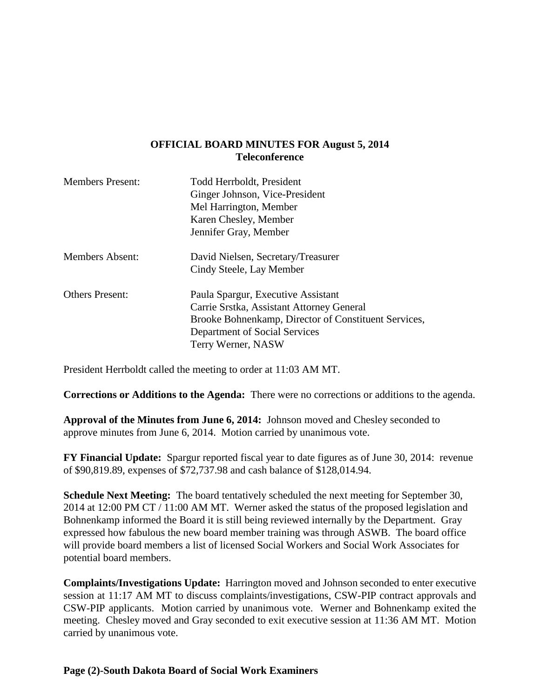### **OFFICIAL BOARD MINUTES FOR August 5, 2014 Teleconference**

| <b>Members Present:</b> | Todd Herrboldt, President<br>Ginger Johnson, Vice-President<br>Mel Harrington, Member<br>Karen Chesley, Member<br>Jennifer Gray, Member                                                        |
|-------------------------|------------------------------------------------------------------------------------------------------------------------------------------------------------------------------------------------|
| <b>Members Absent:</b>  | David Nielsen, Secretary/Treasurer<br>Cindy Steele, Lay Member                                                                                                                                 |
| <b>Others Present:</b>  | Paula Spargur, Executive Assistant<br>Carrie Srstka, Assistant Attorney General<br>Brooke Bohnenkamp, Director of Constituent Services,<br>Department of Social Services<br>Terry Werner, NASW |

President Herrboldt called the meeting to order at 11:03 AM MT.

**Corrections or Additions to the Agenda:** There were no corrections or additions to the agenda.

**Approval of the Minutes from June 6, 2014:** Johnson moved and Chesley seconded to approve minutes from June 6, 2014. Motion carried by unanimous vote.

**FY Financial Update:** Spargur reported fiscal year to date figures as of June 30, 2014: revenue of \$90,819.89, expenses of \$72,737.98 and cash balance of \$128,014.94.

**Schedule Next Meeting:** The board tentatively scheduled the next meeting for September 30, 2014 at 12:00 PM CT / 11:00 AM MT. Werner asked the status of the proposed legislation and Bohnenkamp informed the Board it is still being reviewed internally by the Department. Gray expressed how fabulous the new board member training was through ASWB. The board office will provide board members a list of licensed Social Workers and Social Work Associates for potential board members.

**Complaints/Investigations Update:** Harrington moved and Johnson seconded to enter executive session at 11:17 AM MT to discuss complaints/investigations, CSW-PIP contract approvals and CSW-PIP applicants. Motion carried by unanimous vote. Werner and Bohnenkamp exited the meeting. Chesley moved and Gray seconded to exit executive session at 11:36 AM MT. Motion carried by unanimous vote.

#### **Page (2)-South Dakota Board of Social Work Examiners**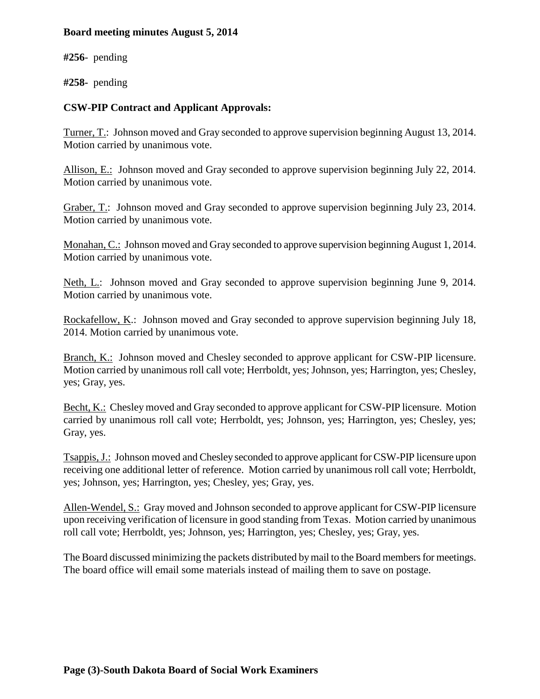#### **Board meeting minutes August 5, 2014**

**#256**- pending

**#258-** pending

## **CSW-PIP Contract and Applicant Approvals:**

Turner, T.: Johnson moved and Gray seconded to approve supervision beginning August 13, 2014. Motion carried by unanimous vote.

Allison, E.: Johnson moved and Gray seconded to approve supervision beginning July 22, 2014. Motion carried by unanimous vote.

Graber, T.: Johnson moved and Gray seconded to approve supervision beginning July 23, 2014. Motion carried by unanimous vote.

Monahan, C.: Johnson moved and Gray seconded to approve supervision beginning August 1, 2014. Motion carried by unanimous vote.

Neth, L.: Johnson moved and Gray seconded to approve supervision beginning June 9, 2014. Motion carried by unanimous vote.

Rockafellow, K.: Johnson moved and Gray seconded to approve supervision beginning July 18, 2014. Motion carried by unanimous vote.

Branch, K.: Johnson moved and Chesley seconded to approve applicant for CSW-PIP licensure. Motion carried by unanimous roll call vote; Herrboldt, yes; Johnson, yes; Harrington, yes; Chesley, yes; Gray, yes.

Becht, K.: Chesley moved and Gray seconded to approve applicant for CSW-PIP licensure. Motion carried by unanimous roll call vote; Herrboldt, yes; Johnson, yes; Harrington, yes; Chesley, yes; Gray, yes.

Tsappis, J.: Johnson moved and Chesley seconded to approve applicant for CSW-PIP licensure upon receiving one additional letter of reference. Motion carried by unanimous roll call vote; Herrboldt, yes; Johnson, yes; Harrington, yes; Chesley, yes; Gray, yes.

Allen-Wendel, S.: Gray moved and Johnson seconded to approve applicant for CSW-PIP licensure upon receiving verification of licensure in good standing from Texas. Motion carried by unanimous roll call vote; Herrboldt, yes; Johnson, yes; Harrington, yes; Chesley, yes; Gray, yes.

The Board discussed minimizing the packets distributed by mail to the Board members for meetings. The board office will email some materials instead of mailing them to save on postage.